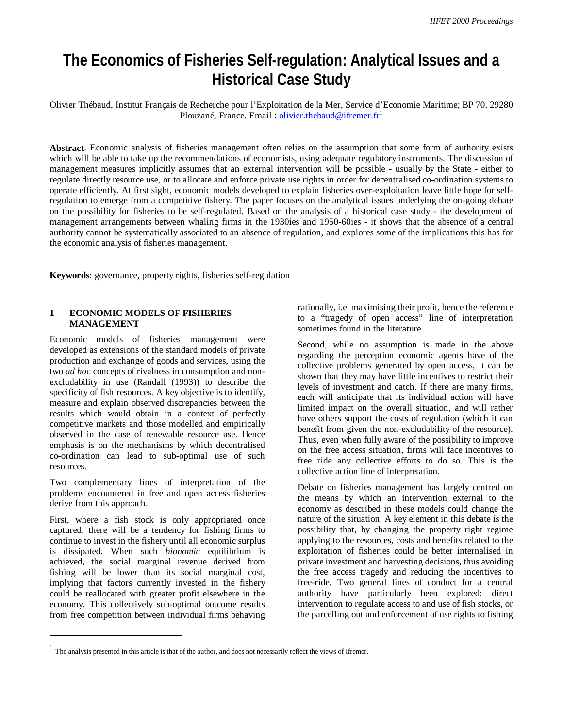# **The Economics of Fisheries Self-regulation: Analytical Issues and a Historical Case Study**

Olivier Thébaud, Institut Français de Recherche pour l'Exploitation de la Mer, Service d'Economie Maritime; BP 70. 29280 Plouzané, France. Email : *olivier.thebaud@ifremer.fr<sup>1</sup>* 

**Abstract**. Economic analysis of fisheries management often relies on the assumption that some form of authority exists which will be able to take up the recommendations of economists, using adequate regulatory instruments. The discussion of management measures implicitly assumes that an external intervention will be possible - usually by the State - either to regulate directly resource use, or to allocate and enforce private use rights in order for decentralised co-ordination systems to operate efficiently. At first sight, economic models developed to explain fisheries over-exploitation leave little hope for selfregulation to emerge from a competitive fishery. The paper focuses on the analytical issues underlying the on-going debate on the possibility for fisheries to be self-regulated. Based on the analysis of a historical case study - the development of management arrangements between whaling firms in the 1930ies and 1950-60ies - it shows that the absence of a central authority cannot be systematically associated to an absence of regulation, and explores some of the implications this has for the economic analysis of fisheries management.

**Keywords**: governance, property rights, fisheries self-regulation

#### **1 ECONOMIC MODELS OF FISHERIES MANAGEMENT**

Economic models of fisheries management were developed as extensions of the standard models of private production and exchange of goods and services, using the two *ad hoc* concepts of rivalness in consumption and nonexcludability in use (Randall (1993)) to describe the specificity of fish resources. A key objective is to identify, measure and explain observed discrepancies between the results which would obtain in a context of perfectly competitive markets and those modelled and empirically observed in the case of renewable resource use. Hence emphasis is on the mechanisms by which decentralised co-ordination can lead to sub-optimal use of such resources.

Two complementary lines of interpretation of the problems encountered in free and open access fisheries derive from this approach.

First, where a fish stock is only appropriated once captured, there will be a tendency for fishing firms to continue to invest in the fishery until all economic surplus is dissipated. When such *bionomic* equilibrium is achieved, the social marginal revenue derived from fishing will be lower than its social marginal cost, implying that factors currently invested in the fishery could be reallocated with greater profit elsewhere in the economy. This collectively sub-optimal outcome results from free competition between individual firms behaving

 $\overline{a}$ 

rationally, i.e. maximising their profit, hence the reference to a "tragedy of open access" line of interpretation sometimes found in the literature.

Second, while no assumption is made in the above regarding the perception economic agents have of the collective problems generated by open access, it can be shown that they may have little incentives to restrict their levels of investment and catch. If there are many firms, each will anticipate that its individual action will have limited impact on the overall situation, and will rather have others support the costs of regulation (which it can benefit from given the non-excludability of the resource). Thus, even when fully aware of the possibility to improve on the free access situation, firms will face incentives to free ride any collective efforts to do so. This is the collective action line of interpretation.

Debate on fisheries management has largely centred on the means by which an intervention external to the economy as described in these models could change the nature of the situation. A key element in this debate is the possibility that, by changing the property right regime applying to the resources, costs and benefits related to the exploitation of fisheries could be better internalised in private investment and harvesting decisions, thus avoiding the free access tragedy and reducing the incentives to free-ride. Two general lines of conduct for a central authority have particularly been explored: direct intervention to regulate access to and use of fish stocks, or the parcelling out and enforcement of use rights to fishing

 $<sup>1</sup>$  The analysis presented in this article is that of the author, and does not necessarily reflect the views of Ifremer.</sup>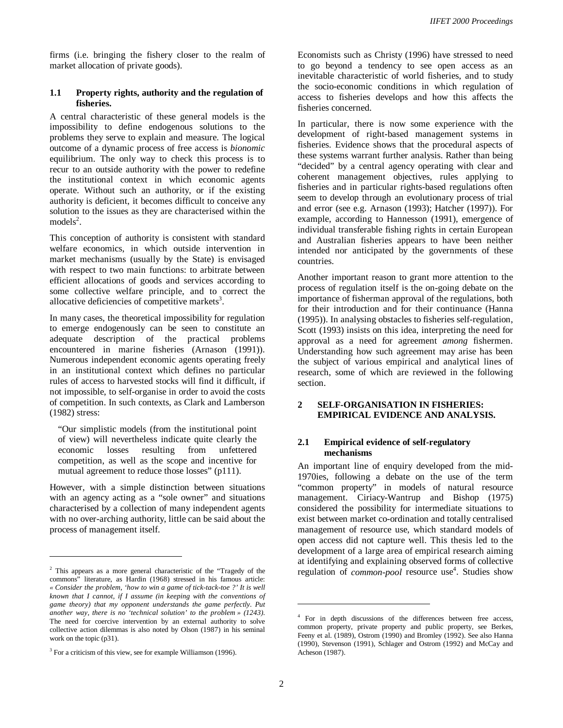firms (i.e. bringing the fishery closer to the realm of market allocation of private goods).

#### **1.1 Property rights, authority and the regulation of fisheries.**

A central characteristic of these general models is the impossibility to define endogenous solutions to the problems they serve to explain and measure. The logical outcome of a dynamic process of free access is *bionomic* equilibrium. The only way to check this process is to recur to an outside authority with the power to redefine the institutional context in which economic agents operate. Without such an authority, or if the existing authority is deficient, it becomes difficult to conceive any solution to the issues as they are characterised within the  $models<sup>2</sup>$ .

This conception of authority is consistent with standard welfare economics, in which outside intervention in market mechanisms (usually by the State) is envisaged with respect to two main functions: to arbitrate between efficient allocations of goods and services according to some collective welfare principle, and to correct the allocative deficiencies of competitive markets<sup>3</sup>.

In many cases, the theoretical impossibility for regulation to emerge endogenously can be seen to constitute an adequate description of the practical problems encountered in marine fisheries (Arnason (1991)). Numerous independent economic agents operating freely in an institutional context which defines no particular rules of access to harvested stocks will find it difficult, if not impossible, to self-organise in order to avoid the costs of competition. In such contexts, as Clark and Lamberson (1982) stress:

"Our simplistic models (from the institutional point of view) will nevertheless indicate quite clearly the economic losses resulting from unfettered economic losses resulting from unfettered competition, as well as the scope and incentive for mutual agreement to reduce those losses" (p111).

However, with a simple distinction between situations with an agency acting as a "sole owner" and situations characterised by a collection of many independent agents with no over-arching authority, little can be said about the process of management itself.

 $\overline{a}$ 

Economists such as Christy (1996) have stressed to need to go beyond a tendency to see open access as an inevitable characteristic of world fisheries, and to study the socio-economic conditions in which regulation of access to fisheries develops and how this affects the fisheries concerned.

In particular, there is now some experience with the development of right-based management systems in fisheries. Evidence shows that the procedural aspects of these systems warrant further analysis. Rather than being "decided" by a central agency operating with clear and coherent management objectives, rules applying to fisheries and in particular rights-based regulations often seem to develop through an evolutionary process of trial and error (see e.g. Arnason (1993); Hatcher (1997)). For example, according to Hannesson (1991), emergence of individual transferable fishing rights in certain European and Australian fisheries appears to have been neither intended nor anticipated by the governments of these countries.

Another important reason to grant more attention to the process of regulation itself is the on-going debate on the importance of fisherman approval of the regulations, both for their introduction and for their continuance (Hanna (1995)). In analysing obstacles to fisheries self-regulation, Scott (1993) insists on this idea, interpreting the need for approval as a need for agreement *among* fishermen. Understanding how such agreement may arise has been the subject of various empirical and analytical lines of research, some of which are reviewed in the following section.

# **2 SELF-ORGANISATION IN FISHERIES: EMPIRICAL EVIDENCE AND ANALYSIS.**

#### **2.1 Empirical evidence of self-regulatory mechanisms**

An important line of enquiry developed from the mid-1970ies, following a debate on the use of the term "common property" in models of natural resource management. Ciriacy-Wantrup and Bishop (1975) considered the possibility for intermediate situations to exist between market co-ordination and totally centralised management of resource use, which standard models of open access did not capture well. This thesis led to the development of a large area of empirical research aiming at identifying and explaining observed forms of collective regulation of *common-pool* resource use<sup>4</sup>. Studies show

<sup>&</sup>lt;sup>2</sup> This appears as a more general characteristic of the "Tragedy of the commons" literature, as Hardin (1968) stressed in his famous article: *« Consider the problem, 'how to win a game of tick-tack-toe ?' It is well known that I cannot, if I assume (in keeping with the conventions of game theory) that my opponent understands the game perfectly. Put another way, there is no 'technical solution' to the problem » (1243)*. The need for coercive intervention by an external authority to solve collective action dilemmas is also noted by Olson (1987) in his seminal work on the topic (p31).

<sup>&</sup>lt;sup>3</sup> For a criticism of this view, see for example Williamson (1996).

<sup>&</sup>lt;sup>4</sup> For in depth discussions of the differences between free access, common property, private property and public property, see Berkes, Feeny et al. (1989), Ostrom (1990) and Bromley (1992). See also Hanna (1990), Stevenson (1991), Schlager and Ostrom (1992) and McCay and Acheson (1987).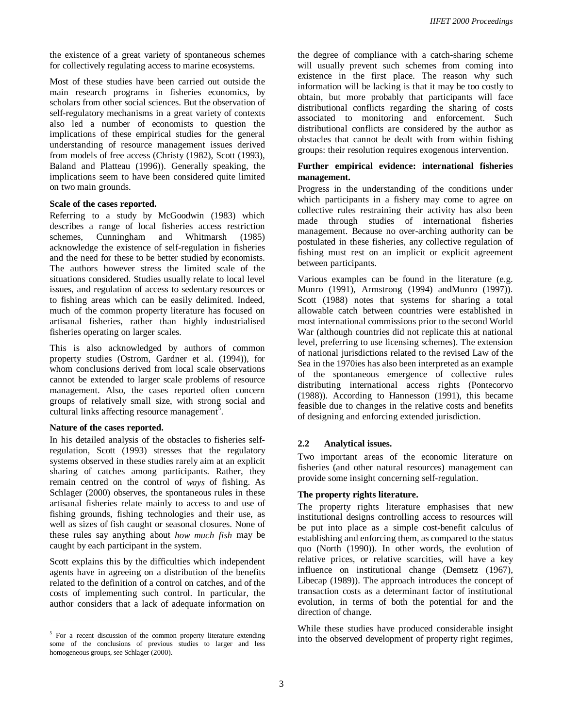the existence of a great variety of spontaneous schemes for collectively regulating access to marine ecosystems.

Most of these studies have been carried out outside the main research programs in fisheries economics, by scholars from other social sciences. But the observation of self-regulatory mechanisms in a great variety of contexts also led a number of economists to question the implications of these empirical studies for the general understanding of resource management issues derived from models of free access (Christy (1982), Scott (1993), Baland and Platteau (1996)). Generally speaking, the implications seem to have been considered quite limited on two main grounds.

#### **Scale of the cases reported.**

Referring to a study by McGoodwin (1983) which describes a range of local fisheries access restriction schemes, Cunningham and Whitmarsh (1985) acknowledge the existence of self-regulation in fisheries and the need for these to be better studied by economists. The authors however stress the limited scale of the situations considered. Studies usually relate to local level issues, and regulation of access to sedentary resources or to fishing areas which can be easily delimited. Indeed, much of the common property literature has focused on artisanal fisheries, rather than highly industrialised fisheries operating on larger scales.

This is also acknowledged by authors of common property studies (Ostrom, Gardner et al. (1994)), for whom conclusions derived from local scale observations cannot be extended to larger scale problems of resource management. Also, the cases reported often concern groups of relatively small size, with strong social and cultural links affecting resource management<sup>5</sup>.

#### **Nature of the cases reported.**

 $\overline{a}$ 

In his detailed analysis of the obstacles to fisheries selfregulation, Scott (1993) stresses that the regulatory systems observed in these studies rarely aim at an explicit sharing of catches among participants. Rather, they remain centred on the control of *ways* of fishing. As Schlager (2000) observes, the spontaneous rules in these artisanal fisheries relate mainly to access to and use of fishing grounds, fishing technologies and their use, as well as sizes of fish caught or seasonal closures. None of these rules say anything about *how much fish* may be caught by each participant in the system.

Scott explains this by the difficulties which independent agents have in agreeing on a distribution of the benefits related to the definition of a control on catches, and of the costs of implementing such control. In particular, the author considers that a lack of adequate information on

the degree of compliance with a catch-sharing scheme will usually prevent such schemes from coming into existence in the first place. The reason why such information will be lacking is that it may be too costly to obtain, but more probably that participants will face distributional conflicts regarding the sharing of costs associated to monitoring and enforcement. Such distributional conflicts are considered by the author as obstacles that cannot be dealt with from within fishing groups: their resolution requires exogenous intervention.

#### **Further empirical evidence: international fisheries management.**

Progress in the understanding of the conditions under which participants in a fishery may come to agree on collective rules restraining their activity has also been made through studies of international fisheries management. Because no over-arching authority can be postulated in these fisheries, any collective regulation of fishing must rest on an implicit or explicit agreement between participants.

Various examples can be found in the literature (e.g. Munro (1991), Armstrong (1994) andMunro (1997)). Scott (1988) notes that systems for sharing a total allowable catch between countries were established in most international commissions prior to the second World War (although countries did not replicate this at national level, preferring to use licensing schemes). The extension of national jurisdictions related to the revised Law of the Sea in the 1970ies has also been interpreted as an example of the spontaneous emergence of collective rules distributing international access rights (Pontecorvo (1988)). According to Hannesson (1991), this became feasible due to changes in the relative costs and benefits of designing and enforcing extended jurisdiction.

#### **2.2 Analytical issues.**

Two important areas of the economic literature on fisheries (and other natural resources) management can provide some insight concerning self-regulation.

#### **The property rights literature.**

The property rights literature emphasises that new institutional designs controlling access to resources will be put into place as a simple cost-benefit calculus of establishing and enforcing them, as compared to the status quo (North (1990)). In other words, the evolution of relative prices, or relative scarcities, will have a key influence on institutional change (Demsetz (1967), Libecap (1989)). The approach introduces the concept of transaction costs as a determinant factor of institutional evolution, in terms of both the potential for and the direction of change.

While these studies have produced considerable insight into the observed development of property right regimes,

<sup>&</sup>lt;sup>5</sup> For a recent discussion of the common property literature extending some of the conclusions of previous studies to larger and less homogeneous groups, see Schlager (2000).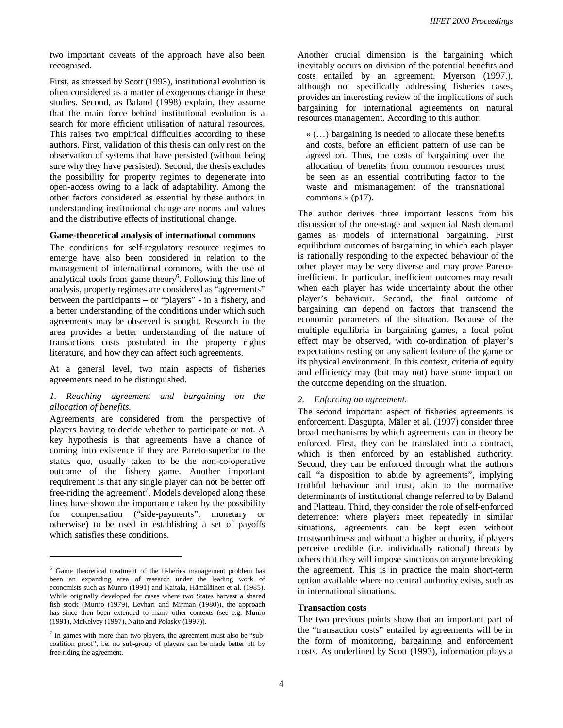two important caveats of the approach have also been recognised.

First, as stressed by Scott (1993), institutional evolution is often considered as a matter of exogenous change in these studies. Second, as Baland (1998) explain, they assume that the main force behind institutional evolution is a search for more efficient utilisation of natural resources. This raises two empirical difficulties according to these authors. First, validation of this thesis can only rest on the observation of systems that have persisted (without being sure why they have persisted). Second, the thesis excludes the possibility for property regimes to degenerate into open-access owing to a lack of adaptability. Among the other factors considered as essential by these authors in understanding institutional change are norms and values and the distributive effects of institutional change.

#### **Game-theoretical analysis of international commons**

The conditions for self-regulatory resource regimes to emerge have also been considered in relation to the management of international commons, with the use of analytical tools from game theory<sup>6</sup>. Following this line of analysis, property regimes are considered as "agreements" between the participants – or "players" - in a fishery, and a better understanding of the conditions under which such agreements may be observed is sought. Research in the area provides a better understanding of the nature of transactions costs postulated in the property rights literature, and how they can affect such agreements.

At a general level, two main aspects of fisheries agreements need to be distinguished.

#### *1. Reaching agreement and bargaining on the allocation of benefits.*

Agreements are considered from the perspective of players having to decide whether to participate or not. A key hypothesis is that agreements have a chance of coming into existence if they are Pareto-superior to the status quo, usually taken to be the non-co-operative outcome of the fishery game. Another important requirement is that any single player can not be better off free-riding the agreement<sup>7</sup>. Models developed along these lines have shown the importance taken by the possibility for compensation ("side-payments", monetary or otherwise) to be used in establishing a set of payoffs which satisfies these conditions.

 $\overline{a}$ 

Another crucial dimension is the bargaining which inevitably occurs on division of the potential benefits and costs entailed by an agreement. Myerson (1997.), although not specifically addressing fisheries cases, provides an interesting review of the implications of such bargaining for international agreements on natural resources management. According to this author:

« (…) bargaining is needed to allocate these benefits and costs, before an efficient pattern of use can be agreed on. Thus, the costs of bargaining over the allocation of benefits from common resources must be seen as an essential contributing factor to the waste and mismanagement of the transnational commons  $\ast$  (p17).

The author derives three important lessons from his discussion of the one-stage and sequential Nash demand games as models of international bargaining. First equilibrium outcomes of bargaining in which each player is rationally responding to the expected behaviour of the other player may be very diverse and may prove Paretoinefficient. In particular, inefficient outcomes may result when each player has wide uncertainty about the other player's behaviour. Second, the final outcome of bargaining can depend on factors that transcend the economic parameters of the situation. Because of the multiple equilibria in bargaining games, a focal point effect may be observed, with co-ordination of player's expectations resting on any salient feature of the game or its physical environment. In this context, criteria of equity and efficiency may (but may not) have some impact on the outcome depending on the situation.

#### *2. Enforcing an agreement.*

The second important aspect of fisheries agreements is enforcement. Dasgupta, Mäler et al. (1997) consider three broad mechanisms by which agreements can in theory be enforced. First, they can be translated into a contract, which is then enforced by an established authority. Second, they can be enforced through what the authors call "a disposition to abide by agreements", implying truthful behaviour and trust, akin to the normative determinants of institutional change referred to by Baland and Platteau. Third, they consider the role of self-enforced deterrence: where players meet repeatedly in similar situations, agreements can be kept even without trustworthiness and without a higher authority, if players perceive credible (i.e. individually rational) threats by others that they will impose sanctions on anyone breaking the agreement. This is in practice the main short-term option available where no central authority exists, such as in international situations.

#### **Transaction costs**

The two previous points show that an important part of the "transaction costs" entailed by agreements will be in the form of monitoring, bargaining and enforcement costs. As underlined by Scott (1993), information plays a

<sup>&</sup>lt;sup>6</sup> Game theoretical treatment of the fisheries management problem has been an expanding area of research under the leading work of economists such as Munro (1991) and Kaitala, Hämäläinen et al. (1985). While originally developed for cases where two States harvest a shared fish stock (Munro (1979), Levhari and Mirman (1980)), the approach has since then been extended to many other contexts (see e.g. Munro (1991), McKelvey (1997), Naito and Polasky (1997)).

<sup>&</sup>lt;sup>7</sup> In games with more than two players, the agreement must also be "subcoalition proof", i.e. no sub-group of players can be made better off by free-riding the agreement.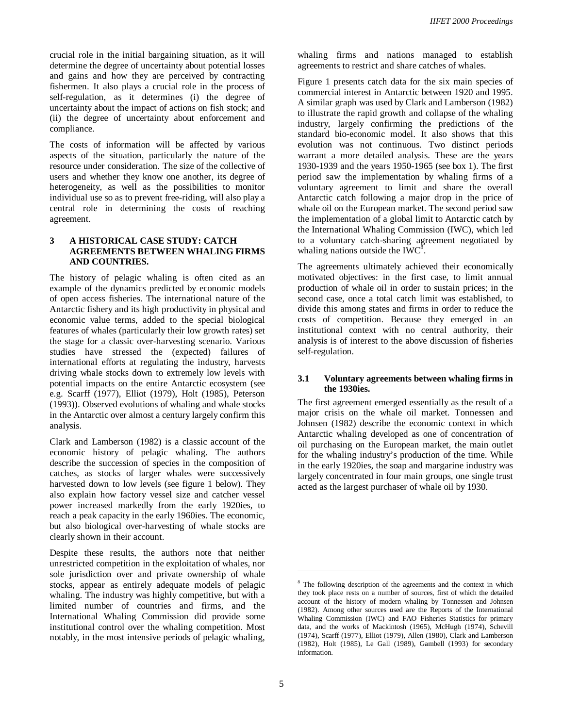crucial role in the initial bargaining situation, as it will determine the degree of uncertainty about potential losses and gains and how they are perceived by contracting fishermen. It also plays a crucial role in the process of self-regulation, as it determines (i) the degree of uncertainty about the impact of actions on fish stock; and (ii) the degree of uncertainty about enforcement and compliance.

The costs of information will be affected by various aspects of the situation, particularly the nature of the resource under consideration. The size of the collective of users and whether they know one another, its degree of heterogeneity, as well as the possibilities to monitor individual use so as to prevent free-riding, will also play a central role in determining the costs of reaching agreement.

#### **3 A HISTORICAL CASE STUDY: CATCH AGREEMENTS BETWEEN WHALING FIRMS AND COUNTRIES.**

The history of pelagic whaling is often cited as an example of the dynamics predicted by economic models of open access fisheries. The international nature of the Antarctic fishery and its high productivity in physical and economic value terms, added to the special biological features of whales (particularly their low growth rates) set the stage for a classic over-harvesting scenario. Various studies have stressed the (expected) failures of international efforts at regulating the industry, harvests driving whale stocks down to extremely low levels with potential impacts on the entire Antarctic ecosystem (see e.g. Scarff (1977), Elliot (1979), Holt (1985), Peterson (1993)). Observed evolutions of whaling and whale stocks in the Antarctic over almost a century largely confirm this analysis.

Clark and Lamberson (1982) is a classic account of the economic history of pelagic whaling. The authors describe the succession of species in the composition of catches, as stocks of larger whales were successively harvested down to low levels (see figure 1 below). They also explain how factory vessel size and catcher vessel power increased markedly from the early 1920ies, to reach a peak capacity in the early 1960ies. The economic, but also biological over-harvesting of whale stocks are clearly shown in their account.

Despite these results, the authors note that neither unrestricted competition in the exploitation of whales, nor sole jurisdiction over and private ownership of whale stocks, appear as entirely adequate models of pelagic whaling. The industry was highly competitive, but with a limited number of countries and firms, and the International Whaling Commission did provide some institutional control over the whaling competition. Most notably, in the most intensive periods of pelagic whaling,

whaling firms and nations managed to establish agreements to restrict and share catches of whales.

Figure 1 presents catch data for the six main species of commercial interest in Antarctic between 1920 and 1995. A similar graph was used by Clark and Lamberson (1982) to illustrate the rapid growth and collapse of the whaling industry, largely confirming the predictions of the standard bio-economic model. It also shows that this evolution was not continuous. Two distinct periods warrant a more detailed analysis. These are the years 1930-1939 and the years 1950-1965 (see box 1). The first period saw the implementation by whaling firms of a voluntary agreement to limit and share the overall Antarctic catch following a major drop in the price of whale oil on the European market. The second period saw the implementation of a global limit to Antarctic catch by the International Whaling Commission (IWC), which led to a voluntary catch-sharing agreement negotiated by whaling nations outside the  $IWC^8$ .

The agreements ultimately achieved their economically motivated objectives: in the first case, to limit annual production of whale oil in order to sustain prices; in the second case, once a total catch limit was established, to divide this among states and firms in order to reduce the costs of competition. Because they emerged in an institutional context with no central authority, their analysis is of interest to the above discussion of fisheries self-regulation.

#### **3.1 Voluntary agreements between whaling firms in the 1930ies.**

The first agreement emerged essentially as the result of a major crisis on the whale oil market. Tonnessen and Johnsen (1982) describe the economic context in which Antarctic whaling developed as one of concentration of oil purchasing on the European market, the main outlet for the whaling industry's production of the time. While in the early 1920ies, the soap and margarine industry was largely concentrated in four main groups, one single trust acted as the largest purchaser of whale oil by 1930.

<sup>&</sup>lt;sup>8</sup> The following description of the agreements and the context in which they took place rests on a number of sources, first of which the detailed account of the history of modern whaling by Tonnessen and Johnsen (1982). Among other sources used are the Reports of the International Whaling Commission (IWC) and FAO Fisheries Statistics for primary data, and the works of Mackintosh (1965), McHugh (1974), Schevill (1974), Scarff (1977), Elliot (1979), Allen (1980), Clark and Lamberson (1982), Holt (1985), Le Gall (1989), Gambell (1993) for secondary information.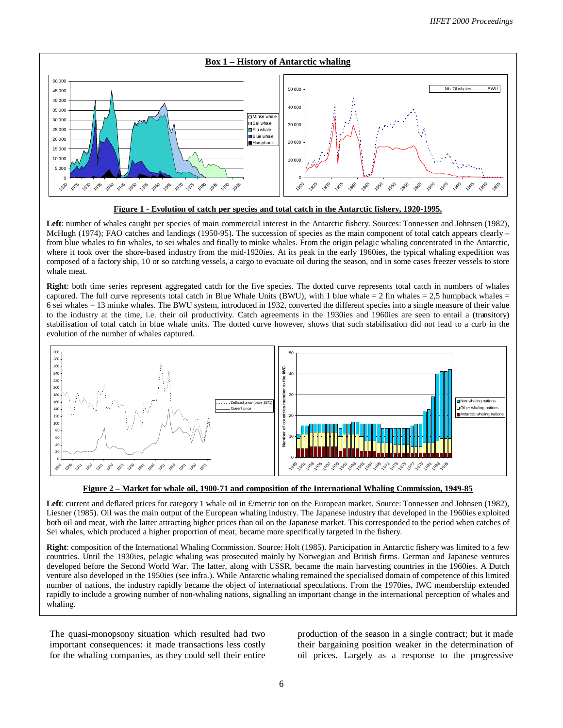



**Left**: number of whales caught per species of main commercial interest in the Antarctic fishery. Sources: Tonnessen and Johnsen (1982), McHugh (1974); FAO catches and landings (1950-95). The succession of species as the main component of total catch appears clearly – from blue whales to fin whales, to sei whales and finally to minke whales. From the origin pelagic whaling concentrated in the Antarctic, where it took over the shore-based industry from the mid-1920ies. At its peak in the early 1960ies, the typical whaling expedition was composed of a factory ship, 10 or so catching vessels, a cargo to evacuate oil during the season, and in some cases freezer vessels to store whale meat.

**Right**: both time series represent aggregated catch for the five species. The dotted curve represents total catch in numbers of whales captured. The full curve represents total catch in Blue Whale Units (BWU), with 1 blue whale = 2 fin whales = 2,5 humpback whales = 6 sei whales = 13 minke whales. The BWU system, introduced in 1932, converted the different species into a single measure of their value to the industry at the time, i.e. their oil productivity. Catch agreements in the 1930ies and 1960ies are seen to entail a (transitory) stabilisation of total catch in blue whale units. The dotted curve however, shows that such stabilisation did not lead to a curb in the evolution of the number of whales captured.



#### **Figure 2 – Market for whale oil, 1900-71 and composition of the International Whaling Commission, 1949-85**

Left: current and deflated prices for category 1 whale oil in  $£$ /metric ton on the European market. Source: Tonnessen and Johnsen (1982), Liesner (1985). Oil was the main output of the European whaling industry. The Japanese industry that developed in the 1960ies exploited both oil and meat, with the latter attracting higher prices than oil on the Japanese market. This corresponded to the period when catches of Sei whales, which produced a higher proportion of meat, became more specifically targeted in the fishery.

**Right**: composition of the International Whaling Commission. Source: Holt (1985). Participation in Antarctic fishery was limited to a few countries. Until the 1930ies, pelagic whaling was prosecuted mainly by Norwegian and British firms. German and Japanese ventures developed before the Second World War. The latter, along with USSR, became the main harvesting countries in the 1960ies. A Dutch venture also developed in the 1950ies (see infra.). While Antarctic whaling remained the specialised domain of competence of this limited number of nations, the industry rapidly became the object of international speculations. From the 1970ies, IWC membership extended rapidly to include a growing number of non-whaling nations, signalling an important change in the international perception of whales and whaling.

The quasi-monopsony situation which resulted had two important consequences: it made transactions less costly for the whaling companies, as they could sell their entire

production of the season in a single contract; but it made their bargaining position weaker in the determination of oil prices. Largely as a response to the progressive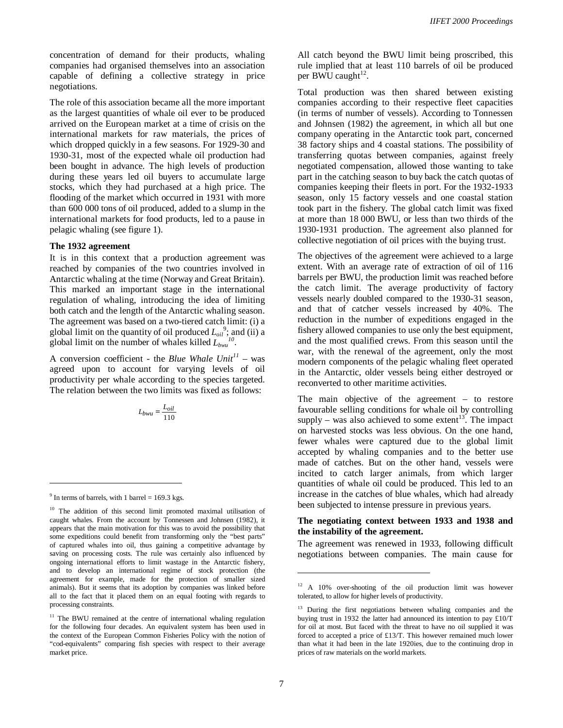concentration of demand for their products, whaling companies had organised themselves into an association capable of defining a collective strategy in price negotiations.

The role of this association became all the more important as the largest quantities of whale oil ever to be produced arrived on the European market at a time of crisis on the international markets for raw materials, the prices of which dropped quickly in a few seasons. For 1929-30 and 1930-31, most of the expected whale oil production had been bought in advance. The high levels of production during these years led oil buyers to accumulate large stocks, which they had purchased at a high price. The flooding of the market which occurred in 1931 with more than 600 000 tons of oil produced, added to a slump in the international markets for food products, led to a pause in pelagic whaling (see figure 1).

#### **The 1932 agreement**

It is in this context that a production agreement was reached by companies of the two countries involved in Antarctic whaling at the time (Norway and Great Britain). This marked an important stage in the international regulation of whaling, introducing the idea of limiting both catch and the length of the Antarctic whaling season. The agreement was based on a two-tiered catch limit: (i) a global limit on the quantity of oil produced  $L_{oil}^9$ ; and (ii) a global limit on the number of whales killed  $L_{bwa}^{10}$ .

A conversion coefficient - the *Blue Whale Unit<sup>11</sup>* – was agreed upon to account for varying levels of oil productivity per whale according to the species targeted. The relation between the two limits was fixed as follows:

$$
L_{bwu} = \frac{L_{oil}}{110}
$$

 $\overline{a}$ 

All catch beyond the BWU limit being proscribed, this rule implied that at least 110 barrels of oil be produced per BWU caught $^{12}$ .

Total production was then shared between existing companies according to their respective fleet capacities (in terms of number of vessels). According to Tonnessen and Johnsen (1982) the agreement, in which all but one company operating in the Antarctic took part, concerned 38 factory ships and 4 coastal stations. The possibility of transferring quotas between companies, against freely negotiated compensation, allowed those wanting to take part in the catching season to buy back the catch quotas of companies keeping their fleets in port. For the 1932-1933 season, only 15 factory vessels and one coastal station took part in the fishery. The global catch limit was fixed at more than 18 000 BWU, or less than two thirds of the 1930-1931 production. The agreement also planned for collective negotiation of oil prices with the buying trust.

The objectives of the agreement were achieved to a large extent. With an average rate of extraction of oil of 116 barrels per BWU, the production limit was reached before the catch limit. The average productivity of factory vessels nearly doubled compared to the 1930-31 season, and that of catcher vessels increased by 40%. The reduction in the number of expeditions engaged in the fishery allowed companies to use only the best equipment, and the most qualified crews. From this season until the war, with the renewal of the agreement, only the most modern components of the pelagic whaling fleet operated in the Antarctic, older vessels being either destroyed or reconverted to other maritime activities.

The main objective of the agreement – to restore favourable selling conditions for whale oil by controlling supply – was also achieved to some extent<sup>13</sup>. The impact on harvested stocks was less obvious. On the one hand, fewer whales were captured due to the global limit accepted by whaling companies and to the better use made of catches. But on the other hand, vessels were incited to catch larger animals, from which larger quantities of whale oil could be produced. This led to an increase in the catches of blue whales, which had already been subjected to intense pressure in previous years.

#### **The negotiating context between 1933 and 1938 and the instability of the agreement.**

The agreement was renewed in 1933, following difficult negotiations between companies. The main cause for

 $9$  In terms of barrels, with 1 barrel = 169.3 kgs.

<sup>&</sup>lt;sup>10</sup> The addition of this second limit promoted maximal utilisation of caught whales. From the account by Tonnessen and Johnsen (1982), it appears that the main motivation for this was to avoid the possibility that some expeditions could benefit from transforming only the "best parts" of captured whales into oil, thus gaining a competitive advantage by saving on processing costs. The rule was certainly also influenced by ongoing international efforts to limit wastage in the Antarctic fishery, and to develop an international regime of stock protection (the agreement for example, made for the protection of smaller sized animals). But it seems that its adoption by companies was linked before all to the fact that it placed them on an equal footing with regards to processing constraints.

<sup>&</sup>lt;sup>11</sup> The BWU remained at the centre of international whaling regulation for the following four decades. An equivalent system has been used in the context of the European Common Fisheries Policy with the notion of "cod-equivalents" comparing fish species with respect to their average market price.

<sup>&</sup>lt;sup>12</sup> A 10% over-shooting of the oil production limit was however tolerated, to allow for higher levels of productivity.

 $13$  During the first negotiations between whaling companies and the buying trust in 1932 the latter had announced its intention to pay £10/T for oil at most. But faced with the threat to have no oil supplied it was forced to accepted a price of £13/T. This however remained much lower than what it had been in the late 1920ies, due to the continuing drop in prices of raw materials on the world markets.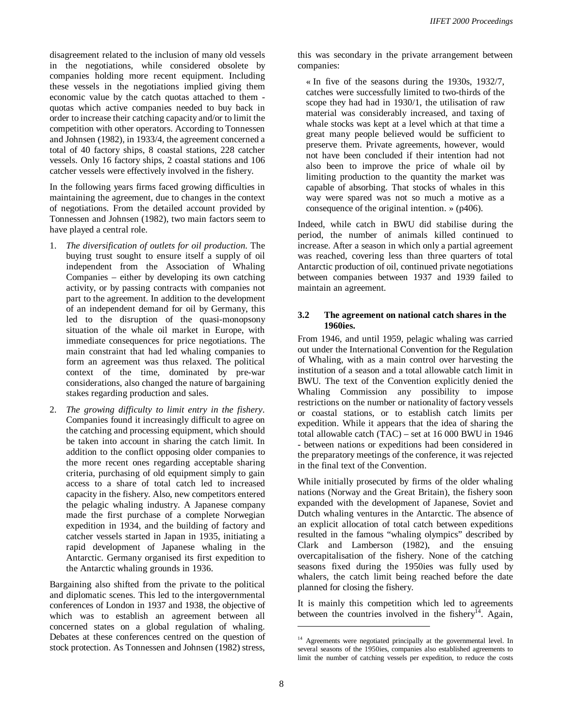disagreement related to the inclusion of many old vessels in the negotiations, while considered obsolete by companies holding more recent equipment. Including these vessels in the negotiations implied giving them economic value by the catch quotas attached to them quotas which active companies needed to buy back in order to increase their catching capacity and/or to limit the competition with other operators. According to Tonnessen and Johnsen (1982), in 1933/4, the agreement concerned a total of 40 factory ships, 8 coastal stations, 228 catcher vessels. Only 16 factory ships, 2 coastal stations and 106 catcher vessels were effectively involved in the fishery.

In the following years firms faced growing difficulties in maintaining the agreement, due to changes in the context of negotiations. From the detailed account provided by Tonnessen and Johnsen (1982), two main factors seem to have played a central role.

- 1. *The diversification of outlets for oil production*. The buying trust sought to ensure itself a supply of oil independent from the Association of Whaling Companies – either by developing its own catching activity, or by passing contracts with companies not part to the agreement. In addition to the development of an independent demand for oil by Germany, this led to the disruption of the quasi-monopsony situation of the whale oil market in Europe, with immediate consequences for price negotiations. The main constraint that had led whaling companies to form an agreement was thus relaxed. The political context of the time, dominated by pre-war considerations, also changed the nature of bargaining stakes regarding production and sales.
- 2. *The growing difficulty to limit entry in the fishery*. Companies found it increasingly difficult to agree on the catching and processing equipment, which should be taken into account in sharing the catch limit. In addition to the conflict opposing older companies to the more recent ones regarding acceptable sharing criteria, purchasing of old equipment simply to gain access to a share of total catch led to increased capacity in the fishery. Also, new competitors entered the pelagic whaling industry. A Japanese company made the first purchase of a complete Norwegian expedition in 1934, and the building of factory and catcher vessels started in Japan in 1935, initiating a rapid development of Japanese whaling in the Antarctic. Germany organised its first expedition to the Antarctic whaling grounds in 1936.

Bargaining also shifted from the private to the political and diplomatic scenes. This led to the intergovernmental conferences of London in 1937 and 1938, the objective of which was to establish an agreement between all concerned states on a global regulation of whaling. Debates at these conferences centred on the question of stock protection. As Tonnessen and Johnsen (1982) stress,

this was secondary in the private arrangement between companies:

« In five of the seasons during the 1930s, 1932/7, catches were successfully limited to two-thirds of the scope they had had in 1930/1, the utilisation of raw material was considerably increased, and taxing of whale stocks was kept at a level which at that time a great many people believed would be sufficient to preserve them. Private agreements, however, would not have been concluded if their intention had not also been to improve the price of whale oil by limiting production to the quantity the market was capable of absorbing. That stocks of whales in this way were spared was not so much a motive as a consequence of the original intention. » (p406).

Indeed, while catch in BWU did stabilise during the period, the number of animals killed continued to increase. After a season in which only a partial agreement was reached, covering less than three quarters of total Antarctic production of oil, continued private negotiations between companies between 1937 and 1939 failed to maintain an agreement.

#### **3.2 The agreement on national catch shares in the 1960ies.**

From 1946, and until 1959, pelagic whaling was carried out under the International Convention for the Regulation of Whaling, with as a main control over harvesting the institution of a season and a total allowable catch limit in BWU. The text of the Convention explicitly denied the Whaling Commission any possibility to impose restrictions on the number or nationality of factory vessels or coastal stations, or to establish catch limits per expedition. While it appears that the idea of sharing the total allowable catch (TAC) – set at 16 000 BWU in 1946 - between nations or expeditions had been considered in the preparatory meetings of the conference, it was rejected in the final text of the Convention.

While initially prosecuted by firms of the older whaling nations (Norway and the Great Britain), the fishery soon expanded with the development of Japanese, Soviet and Dutch whaling ventures in the Antarctic. The absence of an explicit allocation of total catch between expeditions resulted in the famous "whaling olympics" described by Clark and Lamberson (1982), and the ensuing overcapitalisation of the fishery. None of the catching seasons fixed during the 1950ies was fully used by whalers, the catch limit being reached before the date planned for closing the fishery.

It is mainly this competition which led to agreements between the countries involved in the fishery<sup>14</sup>. Again,

<sup>&</sup>lt;sup>14</sup> Agreements were negotiated principally at the governmental level. In several seasons of the 1950ies, companies also established agreements to limit the number of catching vessels per expedition, to reduce the costs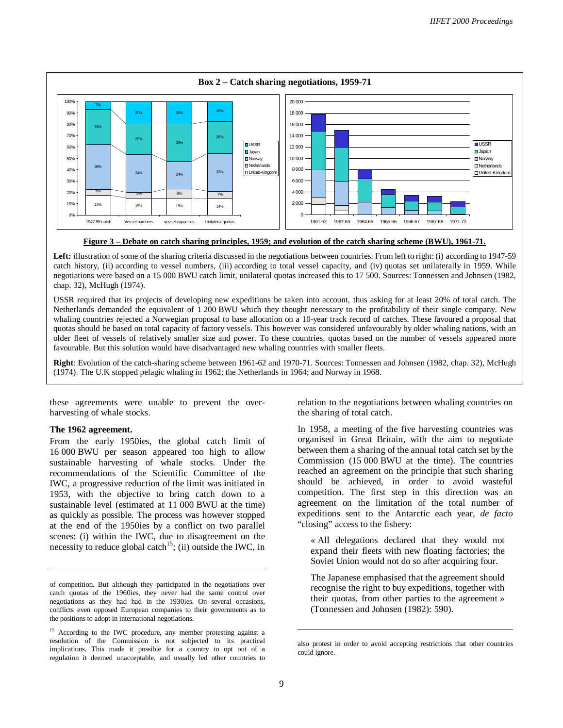

# **Figure 3 – Debate on catch sharing principles, 1959; and evolution of the catch sharing scheme (BWU), 1961-71.**

Left: illustration of some of the sharing criteria discussed in the negotiations between countries. From left to right: (i) according to 1947-59 catch history, (ii) according to vessel numbers, (iii) according to total vessel capacity, and (iv) quotas set unilaterally in 1959. While negotiations were based on a 15 000 BWU catch limit, unilateral quotas increased this to 17 500. Sources: Tonnessen and Johnsen (1982, chap. 32), McHugh (1974).

USSR required that its projects of developing new expeditions be taken into account, thus asking for at least 20% of total catch. The Netherlands demanded the equivalent of 1 200 BWU which they thought necessary to the profitability of their single company. New whaling countries rejected a Norwegian proposal to base allocation on a 10-year track record of catches. These favoured a proposal that quotas should be based on total capacity of factory vessels. This however was considered unfavourably by older whaling nations, with an older fleet of vessels of relatively smaller size and power. To these countries, quotas based on the number of vessels appeared more favourable. But this solution would have disadvantaged new whaling countries with smaller fleets.

**Right**: Evolution of the catch-sharing scheme between 1961-62 and 1970-71. Sources: Tonnessen and Johnsen (1982, chap. 32), McHugh (1974). The U.K stopped pelagic whaling in 1962; the Netherlands in 1964; and Norway in 1968.

these agreements were unable to prevent the overharvesting of whale stocks.

#### **The 1962 agreement.**

 $\overline{a}$ 

From the early 1950ies, the global catch limit of 16 000 BWU per season appeared too high to allow sustainable harvesting of whale stocks. Under the recommendations of the Scientific Committee of the IWC, a progressive reduction of the limit was initiated in 1953, with the objective to bring catch down to a sustainable level (estimated at 11 000 BWU at the time) as quickly as possible. The process was however stopped at the end of the 1950ies by a conflict on two parallel scenes: (i) within the IWC, due to disagreement on the necessity to reduce global catch<sup>15</sup>; (ii) outside the IWC, in relation to the negotiations between whaling countries on the sharing of total catch.

In 1958, a meeting of the five harvesting countries was organised in Great Britain, with the aim to negotiate between them a sharing of the annual total catch set by the Commission (15 000 BWU at the time). The countries reached an agreement on the principle that such sharing should be achieved, in order to avoid wasteful competition. The first step in this direction was an agreement on the limitation of the total number of expeditions sent to the Antarctic each year, *de facto* "closing" access to the fishery:

« All delegations declared that they would not expand their fleets with new floating factories; the Soviet Union would not do so after acquiring four.

The Japanese emphasised that the agreement should recognise the right to buy expeditions, together with their quotas, from other parties to the agreement » (Tonnessen and Johnsen (1982): 590).

of competition. But although they participated in the negotiations over catch quotas of the 1960ies, they never had the same control over negotiations as they had had in the 1930ies. On several occasions, conflicts even opposed European companies to their governments as to the positions to adopt in international negotiations.

<sup>&</sup>lt;sup>15</sup> According to the IWC procedure, any member protesting against a resolution of the Commission is not subjected to its practical implications. This made it possible for a country to opt out of a regulation it deemed unacceptable, and usually led other countries to

also protest in order to avoid accepting restrictions that other countries could ignore.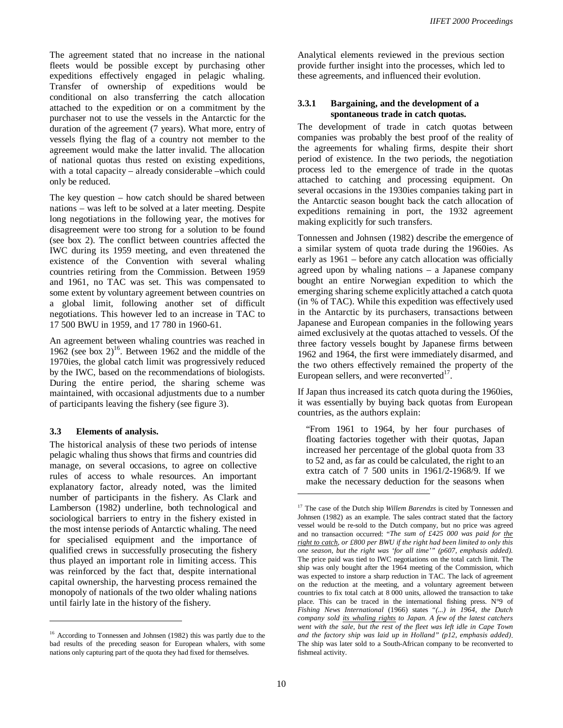The agreement stated that no increase in the national fleets would be possible except by purchasing other expeditions effectively engaged in pelagic whaling. Transfer of ownership of expeditions would be conditional on also transferring the catch allocation attached to the expedition or on a commitment by the purchaser not to use the vessels in the Antarctic for the duration of the agreement (7 years). What more, entry of vessels flying the flag of a country not member to the agreement would make the latter invalid. The allocation of national quotas thus rested on existing expeditions, with a total capacity – already considerable –which could only be reduced.

The key question – how catch should be shared between nations – was left to be solved at a later meeting. Despite long negotiations in the following year, the motives for disagreement were too strong for a solution to be found (see box 2). The conflict between countries affected the IWC during its 1959 meeting, and even threatened the existence of the Convention with several whaling countries retiring from the Commission. Between 1959 and 1961, no TAC was set. This was compensated to some extent by voluntary agreement between countries on a global limit, following another set of difficult negotiations. This however led to an increase in TAC to 17 500 BWU in 1959, and 17 780 in 1960-61.

An agreement between whaling countries was reached in 1962 (see box  $2^{16}$ . Between 1962 and the middle of the 1970ies, the global catch limit was progressively reduced by the IWC, based on the recommendations of biologists. During the entire period, the sharing scheme was maintained, with occasional adjustments due to a number of participants leaving the fishery (see figure 3).

# **3.3 Elements of analysis.**

 $\overline{a}$ 

The historical analysis of these two periods of intense pelagic whaling thus shows that firms and countries did manage, on several occasions, to agree on collective rules of access to whale resources. An important explanatory factor, already noted, was the limited number of participants in the fishery. As Clark and Lamberson (1982) underline, both technological and sociological barriers to entry in the fishery existed in the most intense periods of Antarctic whaling. The need for specialised equipment and the importance of qualified crews in successfully prosecuting the fishery thus played an important role in limiting access. This was reinforced by the fact that, despite international capital ownership, the harvesting process remained the monopoly of nationals of the two older whaling nations until fairly late in the history of the fishery.

Analytical elements reviewed in the previous section provide further insight into the processes, which led to these agreements, and influenced their evolution.

# **3.3.1 Bargaining, and the development of a spontaneous trade in catch quotas.**

The development of trade in catch quotas between companies was probably the best proof of the reality of the agreements for whaling firms, despite their short period of existence. In the two periods, the negotiation process led to the emergence of trade in the quotas attached to catching and processing equipment. On several occasions in the 1930ies companies taking part in the Antarctic season bought back the catch allocation of expeditions remaining in port, the 1932 agreement making explicitly for such transfers.

Tonnessen and Johnsen (1982) describe the emergence of a similar system of quota trade during the 1960ies. As early as 1961 – before any catch allocation was officially agreed upon by whaling nations – a Japanese company bought an entire Norwegian expedition to which the emerging sharing scheme explicitly attached a catch quota (in % of TAC). While this expedition was effectively used in the Antarctic by its purchasers, transactions between Japanese and European companies in the following years aimed exclusively at the quotas attached to vessels. Of the three factory vessels bought by Japanese firms between 1962 and 1964, the first were immediately disarmed, and the two others effectively remained the property of the European sellers, and were reconverted $17$ .

If Japan thus increased its catch quota during the 1960ies, it was essentially by buying back quotas from European countries, as the authors explain:

"From 1961 to 1964, by her four purchases of floating factories together with their quotas, Japan increased her percentage of the global quota from 33 to 52 and, as far as could be calculated, the right to an extra catch of 7 500 units in 1961/2-1968/9. If we make the necessary deduction for the seasons when

<sup>&</sup>lt;sup>16</sup> According to Tonnessen and Johnsen (1982) this was partly due to the bad results of the preceding season for European whalers, with some nations only capturing part of the quota they had fixed for themselves.

<sup>&</sup>lt;sup>17</sup> The case of the Dutch ship *Willem Barendzs* is cited by Tonnessen and Johnsen (1982) as an example. The sales contract stated that the factory vessel would be re-sold to the Dutch company, but no price was agreed and no transaction occurred: "*The sum of £425 000 was paid for the right to catch, or £800 per BWU if the right had been limited to only this one season, but the right was 'for all time'" (p607, emphasis added).*  The price paid was tied to IWC negotiations on the total catch limit. The ship was only bought after the 1964 meeting of the Commission, which was expected to instore a sharp reduction in TAC. The lack of agreement on the reduction at the meeting, and a voluntary agreement between countries to fix total catch at 8 000 units, allowed the transaction to take place. This can be traced in the international fishing press. N°9 of *Fishing News International* (1966) states "*(...) in 1964, the Dutch company sold its whaling rights to Japan. A few of the latest catchers went with the sale, but the rest of the fleet was left idle in Cape Town and the factory ship was laid up in Holland" (p12, emphasis added)*. The ship was later sold to a South-African company to be reconverted to fishmeal activity.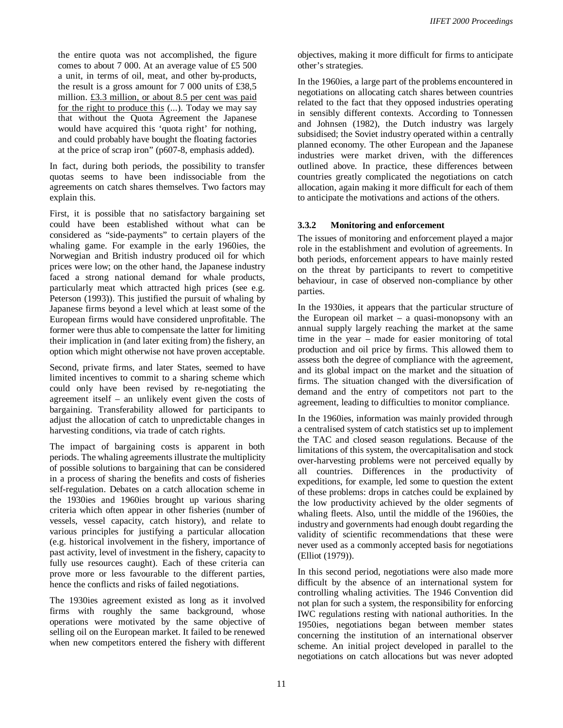the entire quota was not accomplished, the figure comes to about 7 000. At an average value of £5 500 a unit, in terms of oil, meat, and other by-products, the result is a gross amount for 7 000 units of £38,5 million. £3.3 million, or about 8.5 per cent was paid for the right to produce this (...). Today we may say that without the Quota Agreement the Japanese would have acquired this 'quota right' for nothing, and could probably have bought the floating factories at the price of scrap iron" (p607-8, emphasis added).

In fact, during both periods, the possibility to transfer quotas seems to have been indissociable from the agreements on catch shares themselves. Two factors may explain this.

First, it is possible that no satisfactory bargaining set could have been established without what can be considered as "side-payments" to certain players of the whaling game. For example in the early 1960ies, the Norwegian and British industry produced oil for which prices were low; on the other hand, the Japanese industry faced a strong national demand for whale products, particularly meat which attracted high prices (see e.g. Peterson (1993)). This justified the pursuit of whaling by Japanese firms beyond a level which at least some of the European firms would have considered unprofitable. The former were thus able to compensate the latter for limiting their implication in (and later exiting from) the fishery, an option which might otherwise not have proven acceptable.

Second, private firms, and later States, seemed to have limited incentives to commit to a sharing scheme which could only have been revised by re-negotiating the agreement itself – an unlikely event given the costs of bargaining. Transferability allowed for participants to adjust the allocation of catch to unpredictable changes in harvesting conditions, via trade of catch rights.

The impact of bargaining costs is apparent in both periods. The whaling agreements illustrate the multiplicity of possible solutions to bargaining that can be considered in a process of sharing the benefits and costs of fisheries self-regulation. Debates on a catch allocation scheme in the 1930ies and 1960ies brought up various sharing criteria which often appear in other fisheries (number of vessels, vessel capacity, catch history), and relate to various principles for justifying a particular allocation (e.g. historical involvement in the fishery, importance of past activity, level of investment in the fishery, capacity to fully use resources caught). Each of these criteria can prove more or less favourable to the different parties, hence the conflicts and risks of failed negotiations.

The 1930ies agreement existed as long as it involved firms with roughly the same background, whose operations were motivated by the same objective of selling oil on the European market. It failed to be renewed when new competitors entered the fishery with different objectives, making it more difficult for firms to anticipate other's strategies.

In the 1960ies, a large part of the problems encountered in negotiations on allocating catch shares between countries related to the fact that they opposed industries operating in sensibly different contexts. According to Tonnessen and Johnsen (1982), the Dutch industry was largely subsidised; the Soviet industry operated within a centrally planned economy. The other European and the Japanese industries were market driven, with the differences outlined above. In practice, these differences between countries greatly complicated the negotiations on catch allocation, again making it more difficult for each of them to anticipate the motivations and actions of the others.

# **3.3.2 Monitoring and enforcement**

The issues of monitoring and enforcement played a major role in the establishment and evolution of agreements. In both periods, enforcement appears to have mainly rested on the threat by participants to revert to competitive behaviour, in case of observed non-compliance by other parties.

In the 1930ies, it appears that the particular structure of the European oil market – a quasi-monopsony with an annual supply largely reaching the market at the same time in the year – made for easier monitoring of total production and oil price by firms. This allowed them to assess both the degree of compliance with the agreement, and its global impact on the market and the situation of firms. The situation changed with the diversification of demand and the entry of competitors not part to the agreement, leading to difficulties to monitor compliance.

In the 1960ies, information was mainly provided through a centralised system of catch statistics set up to implement the TAC and closed season regulations. Because of the limitations of this system, the overcapitalisation and stock over-harvesting problems were not perceived equally by all countries. Differences in the productivity of expeditions, for example, led some to question the extent of these problems: drops in catches could be explained by the low productivity achieved by the older segments of whaling fleets. Also, until the middle of the 1960ies, the industry and governments had enough doubt regarding the validity of scientific recommendations that these were never used as a commonly accepted basis for negotiations (Elliot (1979)).

In this second period, negotiations were also made more difficult by the absence of an international system for controlling whaling activities. The 1946 Convention did not plan for such a system, the responsibility for enforcing IWC regulations resting with national authorities. In the 1950ies, negotiations began between member states concerning the institution of an international observer scheme. An initial project developed in parallel to the negotiations on catch allocations but was never adopted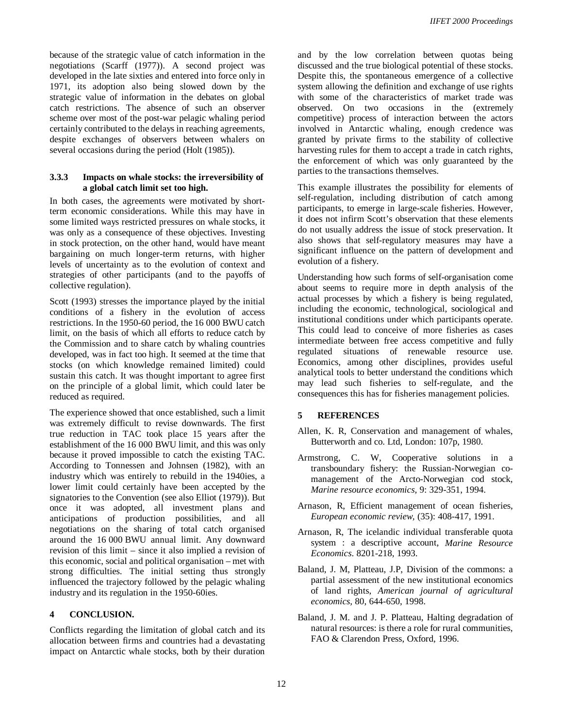because of the strategic value of catch information in the negotiations (Scarff (1977)). A second project was developed in the late sixties and entered into force only in 1971, its adoption also being slowed down by the strategic value of information in the debates on global catch restrictions. The absence of such an observer scheme over most of the post-war pelagic whaling period certainly contributed to the delays in reaching agreements, despite exchanges of observers between whalers on several occasions during the period (Holt (1985)).

# **3.3.3 Impacts on whale stocks: the irreversibility of a global catch limit set too high.**

In both cases, the agreements were motivated by shortterm economic considerations. While this may have in some limited ways restricted pressures on whale stocks, it was only as a consequence of these objectives. Investing in stock protection, on the other hand, would have meant bargaining on much longer-term returns, with higher levels of uncertainty as to the evolution of context and strategies of other participants (and to the payoffs of collective regulation).

Scott (1993) stresses the importance played by the initial conditions of a fishery in the evolution of access restrictions. In the 1950-60 period, the 16 000 BWU catch limit, on the basis of which all efforts to reduce catch by the Commission and to share catch by whaling countries developed, was in fact too high. It seemed at the time that stocks (on which knowledge remained limited) could sustain this catch. It was thought important to agree first on the principle of a global limit, which could later be reduced as required.

The experience showed that once established, such a limit was extremely difficult to revise downwards. The first true reduction in TAC took place 15 years after the establishment of the 16 000 BWU limit, and this was only because it proved impossible to catch the existing TAC. According to Tonnessen and Johnsen (1982), with an industry which was entirely to rebuild in the 1940ies, a lower limit could certainly have been accepted by the signatories to the Convention (see also Elliot (1979)). But once it was adopted, all investment plans and anticipations of production possibilities, and all negotiations on the sharing of total catch organised around the 16 000 BWU annual limit. Any downward revision of this limit – since it also implied a revision of this economic, social and political organisation – met with strong difficulties. The initial setting thus strongly influenced the trajectory followed by the pelagic whaling industry and its regulation in the 1950-60ies.

# **4 CONCLUSION.**

Conflicts regarding the limitation of global catch and its allocation between firms and countries had a devastating impact on Antarctic whale stocks, both by their duration

and by the low correlation between quotas being discussed and the true biological potential of these stocks. Despite this, the spontaneous emergence of a collective system allowing the definition and exchange of use rights with some of the characteristics of market trade was observed. On two occasions in the (extremely competitive) process of interaction between the actors involved in Antarctic whaling, enough credence was granted by private firms to the stability of collective harvesting rules for them to accept a trade in catch rights, the enforcement of which was only guaranteed by the parties to the transactions themselves.

This example illustrates the possibility for elements of self-regulation, including distribution of catch among participants, to emerge in large-scale fisheries. However, it does not infirm Scott's observation that these elements do not usually address the issue of stock preservation. It also shows that self-regulatory measures may have a significant influence on the pattern of development and evolution of a fishery.

Understanding how such forms of self-organisation come about seems to require more in depth analysis of the actual processes by which a fishery is being regulated, including the economic, technological, sociological and institutional conditions under which participants operate. This could lead to conceive of more fisheries as cases intermediate between free access competitive and fully regulated situations of renewable resource use. Economics, among other disciplines, provides useful analytical tools to better understand the conditions which may lead such fisheries to self-regulate, and the consequences this has for fisheries management policies.

# **5 REFERENCES**

- Allen, K. R, Conservation and management of whales, Butterworth and co. Ltd, London: 107p, 1980.
- Armstrong, C. W, Cooperative solutions in a transboundary fishery: the Russian-Norwegian comanagement of the Arcto-Norwegian cod stock, *Marine resource economics,* 9: 329-351, 1994.
- Arnason, R, Efficient management of ocean fisheries, *European economic review,* (35): 408-417, 1991.
- Arnason, R, The icelandic individual transferable quota system : a descriptive account, *Marine Resource Economics*. 8201-218, 1993.
- Baland, J. M, Platteau, J.P, Division of the commons: a partial assessment of the new institutional economics of land rights, *American journal of agricultural economics,* 80, 644-650, 1998.
- Baland, J. M. and J. P. Platteau, Halting degradation of natural resources: is there a role for rural communities, FAO & Clarendon Press, Oxford, 1996.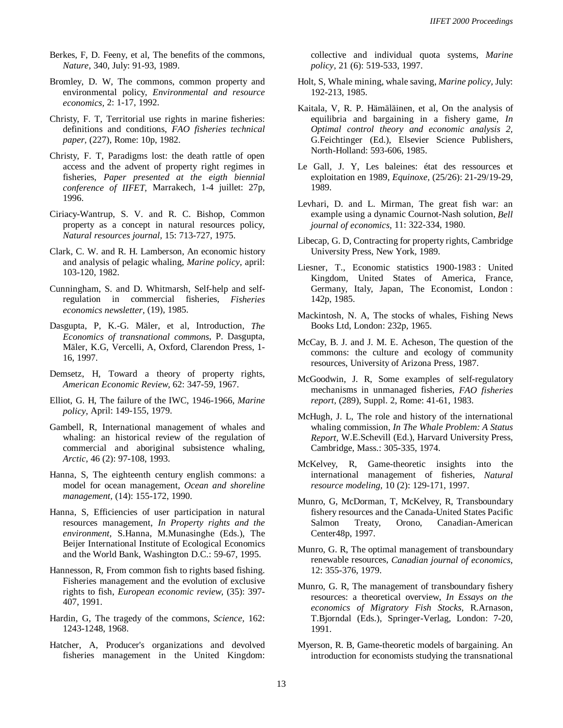- Berkes, F, D. Feeny, et al, The benefits of the commons, *Nature,* 340, July: 91-93, 1989.
- Bromley, D. W, The commons, common property and environmental policy, *Environmental and resource economics,* 2: 1-17, 1992.
- Christy, F. T, Territorial use rights in marine fisheries: definitions and conditions, *FAO fisheries technical paper,* (227), Rome: 10p, 1982.
- Christy, F. T, Paradigms lost: the death rattle of open access and the advent of property right regimes in fisheries, *Paper presented at the eigth biennial conference of IIFET,* Marrakech, 1-4 juillet: 27p, 1996.
- Ciriacy-Wantrup, S. V. and R. C. Bishop, Common property as a concept in natural resources policy, *Natural resources journal,* 15: 713-727, 1975.
- Clark, C. W. and R. H. Lamberson, An economic history and analysis of pelagic whaling, *Marine policy,* april: 103-120, 1982.
- Cunningham, S. and D. Whitmarsh, Self-help and selfregulation in commercial fisheries, *Fisheries economics newsletter,* (19), 1985.
- Dasgupta, P, K.-G. Mäler, et al, Introduction, *The Economics of transnational commons*, P. Dasgupta, Mäler, K.G, Vercelli, A, Oxford, Clarendon Press, 1- 16, 1997.
- Demsetz, H, Toward a theory of property rights, *American Economic Review,* 62: 347-59, 1967.
- Elliot, G. H, The failure of the IWC, 1946-1966, *Marine policy,* April: 149-155, 1979.
- Gambell, R, International management of whales and whaling: an historical review of the regulation of commercial and aboriginal subsistence whaling, *Arctic,* 46 (2): 97-108, 1993.
- Hanna, S, The eighteenth century english commons: a model for ocean management, *Ocean and shoreline management,* (14): 155-172, 1990.
- Hanna, S, Efficiencies of user participation in natural resources management, *In Property rights and the environment,* S.Hanna, M.Munasinghe (Eds.), The Beijer International Institute of Ecological Economics and the World Bank, Washington D.C.: 59-67, 1995.
- Hannesson, R, From common fish to rights based fishing. Fisheries management and the evolution of exclusive rights to fish, *European economic review,* (35): 397- 407, 1991.
- Hardin, G, The tragedy of the commons, *Science,* 162: 1243-1248, 1968.
- Hatcher, A, Producer's organizations and devolved fisheries management in the United Kingdom:

collective and individual quota systems, *Marine policy,* 21 (6): 519-533, 1997.

- Holt, S, Whale mining, whale saving, *Marine policy,* July: 192-213, 1985.
- Kaitala, V, R. P. Hämäläinen, et al, On the analysis of equilibria and bargaining in a fishery game, *In Optimal control theory and economic analysis 2,* G.Feichtinger (Ed.), Elsevier Science Publishers, North-Holland: 593-606, 1985.
- Le Gall, J. Y, Les baleines: état des ressources et exploitation en 1989, *Equinoxe,* (25/26): 21-29/19-29, 1989.
- Levhari, D. and L. Mirman, The great fish war: an example using a dynamic Cournot-Nash solution, *Bell journal of economics,* 11: 322-334, 1980.
- Libecap, G. D, Contracting for property rights, Cambridge University Press, New York, 1989.
- Liesner, T., Economic statistics 1900-1983 : United Kingdom, United States of America, France, Germany, Italy, Japan, The Economist, London : 142p, 1985.
- Mackintosh, N. A, The stocks of whales, Fishing News Books Ltd, London: 232p, 1965.
- McCay, B. J. and J. M. E. Acheson, The question of the commons: the culture and ecology of community resources, University of Arizona Press, 1987.
- McGoodwin, J. R, Some examples of self-regulatory mechanisms in unmanaged fisheries, *FAO fisheries report,* (289), Suppl. 2, Rome: 41-61, 1983.
- McHugh, J. L, The role and history of the international whaling commission, *In The Whale Problem: A Status Report,* W.E.Schevill (Ed.), Harvard University Press, Cambridge, Mass.: 305-335, 1974.
- McKelvey, R, Game-theoretic insights into the international management of fisheries, *Natural resource modeling,* 10 (2): 129-171, 1997.
- Munro, G, McDorman, T, McKelvey, R, Transboundary fishery resources and the Canada-United States Pacific Salmon Treaty, Orono, Canadian-American Center48p, 1997.
- Munro, G. R, The optimal management of transboundary renewable resources, *Canadian journal of economics,* 12: 355-376, 1979.
- Munro, G. R, The management of transboundary fishery resources: a theoretical overview, *In Essays on the economics of Migratory Fish Stocks,* R.Arnason, T.Bjorndal (Eds.), Springer-Verlag, London: 7-20, 1991.
- Myerson, R. B, Game-theoretic models of bargaining. An introduction for economists studying the transnational